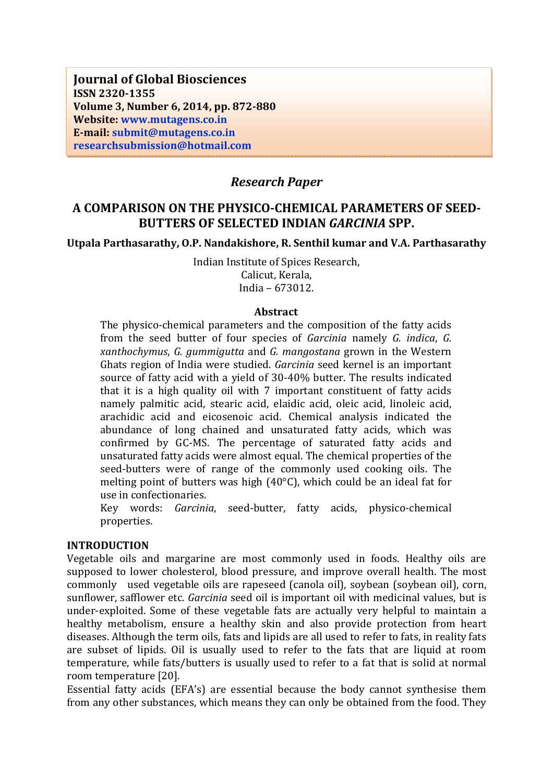**Journal of Global Biosciences ISSN 2320-1355 Volume 3, Number 6, 2014, pp. 872-880 Website: www.mutagens.co.in E-mail: submit@mutagens.co.in researchsubmission@hotmail.com**

# *Research Paper*

# **A COMPARISON ON THE PHYSICO-CHEMICAL PARAMETERS OF SEED-BUTTERS OF SELECTED INDIAN** *GARCINIA* **SPP.**

#### **Utpala Parthasarathy, O.P. Nandakishore, R. Senthil kumar and V.A. Parthasarathy**

Indian Institute of Spices Research, Calicut, Kerala, India – 673012.

#### **Abstract**

The physico-chemical parameters and the composition of the fatty acids from the seed butter of four species of *Garcinia* namely *G. indica*, *G. xanthochymus*, *G. gummigutta* and *G. mangostana* grown in the Western Ghats region of India were studied. *Garcinia* seed kernel is an important source of fatty acid with a yield of 30-40% butter. The results indicated that it is a high quality oil with 7 important constituent of fatty acids namely palmitic acid, stearic acid, elaidic acid, oleic acid, linoleic acid, arachidic acid and eicosenoic acid. Chemical analysis indicated the abundance of long chained and unsaturated fatty acids, which was confirmed by GC-MS. The percentage of saturated fatty acids and unsaturated fatty acids were almost equal. The chemical properties of the seed-butters were of range of the commonly used cooking oils. The melting point of butters was high (40°C), which could be an ideal fat for use in confectionaries.

Key words: *Garcinia*, seed-butter, fatty acids, physico-chemical properties.

#### **INTRODUCTION**

Vegetable oils and margarine are most commonly used in foods. Healthy oils are supposed to lower cholesterol, blood pressure, and improve overall health. The most commonly used vegetable oils are rapeseed (canola oil), soybean (soybean oil), corn, sunflower, safflower etc. *Garcinia* seed oil is important oil with medicinal values, but is under-exploited. Some of these vegetable fats are actually very helpful to maintain a healthy metabolism, ensure a healthy skin and also provide protection from heart diseases. Although the term oils, fats and lipids are all used to refer to fats, in reality fats are subset of lipids. Oil is usually used to refer to the fats that are liquid at room temperature, while fats/butters is usually used to refer to a fat that is solid at normal room temperature [20].

Essential fatty acids (EFA's) are essential because the body cannot synthesise them from any other substances, which means they can only be obtained from the food. They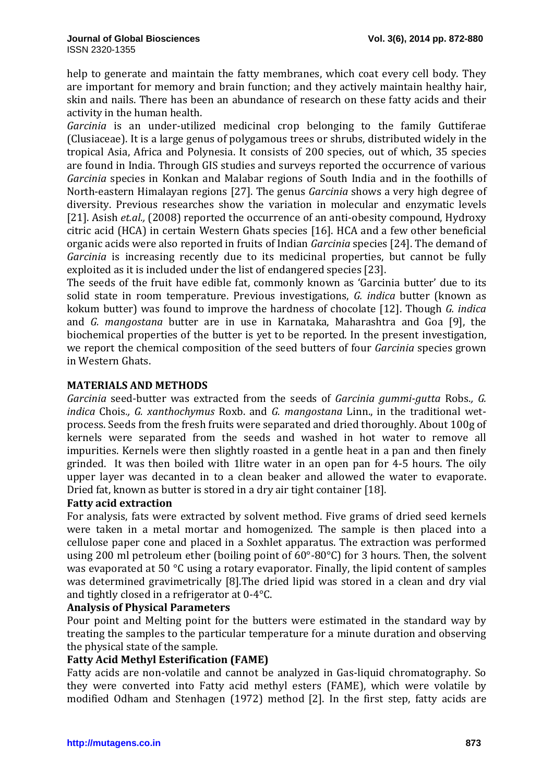help to generate and maintain the fatty membranes, which coat every cell body. They are important for memory and brain function; and they actively maintain healthy hair, skin and nails. There has been an abundance of research on these fatty acids and their activity in the human health.

*Garcinia* is an under-utilized medicinal crop belonging to the family Guttiferae (Clusiaceae). It is a large genus of polygamous trees or shrubs, distributed widely in the tropical Asia, Africa and Polynesia. It consists of 200 species, out of which, 35 species are found in India. Through GIS studies and surveys reported the occurrence of various *Garcinia* species in Konkan and Malabar regions of South India and in the foothills of North-eastern Himalayan regions [27]. The genus *Garcinia* shows a very high degree of diversity. Previous researches show the variation in molecular and enzymatic levels [21]. Asish *et.al.,* (2008) reported the occurrence of an anti-obesity compound, Hydroxy citric acid (HCA) in certain Western Ghats species [16]. HCA and a few other beneficial organic acids were also reported in fruits of Indian *Garcinia* species [24]. The demand of *Garcinia* is increasing recently due to its medicinal properties, but cannot be fully exploited as it is included under the list of endangered species [23].

The seeds of the fruit have edible fat, commonly known as 'Garcinia butter' due to its solid state in room temperature. Previous investigations, *G. indica* butter (known as kokum butter) was found to improve the hardness of chocolate [12]. Though *G. indica*  and *G. mangostana* butter are in use in Karnataka, Maharashtra and Goa [9], the biochemical properties of the butter is yet to be reported. In the present investigation, we report the chemical composition of the seed butters of four *Garcinia* species grown in Western Ghats.

#### **MATERIALS AND METHODS**

*Garcinia* seed-butter was extracted from the seeds of *Garcinia gummi-gutta* Robs.*, G. indica* Chois*., G. xanthochymus* Roxb. and *G. mangostana* Linn., in the traditional wetprocess. Seeds from the fresh fruits were separated and dried thoroughly. About 100g of kernels were separated from the seeds and washed in hot water to remove all impurities. Kernels were then slightly roasted in a gentle heat in a pan and then finely grinded. It was then boiled with 1litre water in an open pan for 4-5 hours. The oily upper layer was decanted in to a clean beaker and allowed the water to evaporate. Dried fat, known as butter is stored in a dry air tight container [18].

### **Fatty acid extraction**

For analysis, fats were extracted by solvent method. Five grams of dried seed kernels were taken in a metal mortar and homogenized. The sample is then placed into a cellulose paper cone and placed in a Soxhlet apparatus. The extraction was performed using 200 ml petroleum ether (boiling point of 60°-80°C) for 3 hours. Then, the solvent was evaporated at 50 °C using a rotary evaporator. Finally, the lipid content of samples was determined gravimetrically [8].The dried lipid was stored in a clean and dry vial and tightly closed in a refrigerator at 0-4°C.

# **Analysis of Physical Parameters**

Pour point and Melting point for the butters were estimated in the standard way by treating the samples to the particular temperature for a minute duration and observing the physical state of the sample.

# **Fatty Acid Methyl Esterification (FAME)**

Fatty acids are non-volatile and cannot be analyzed in Gas-liquid chromatography. So they were converted into Fatty acid methyl esters (FAME), which were volatile by modified Odham and Stenhagen (1972) method [2]. In the first step, fatty acids are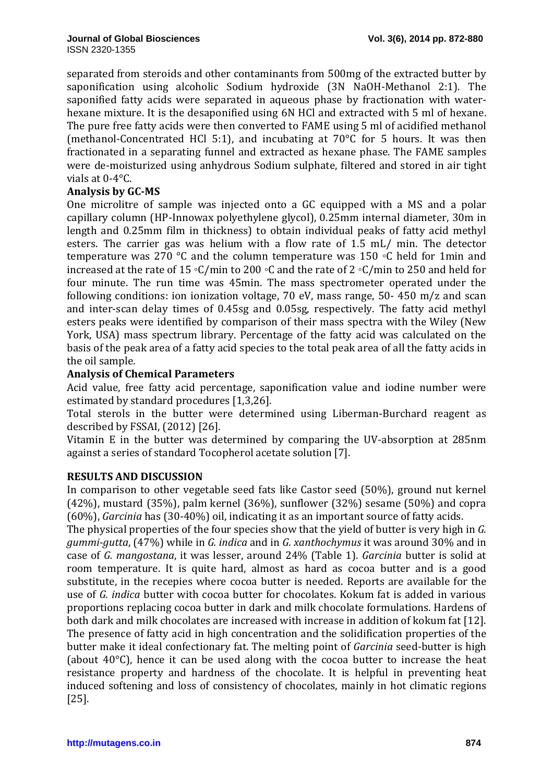separated from steroids and other contaminants from 500mg of the extracted butter by saponification using alcoholic Sodium hydroxide (3N NaOH-Methanol 2:1). The saponified fatty acids were separated in aqueous phase by fractionation with waterhexane mixture. It is the desaponified using 6N HCl and extracted with 5 ml of hexane. The pure free fatty acids were then converted to FAME using 5 ml of acidified methanol (methanol-Concentrated HCl 5:1), and incubating at 70°C for 5 hours. It was then fractionated in a separating funnel and extracted as hexane phase. The FAME samples were de-moisturized using anhydrous Sodium sulphate, filtered and stored in air tight vials at 0-4°C.

# **Analysis by GC-MS**

One microlitre of sample was injected onto a GC equipped with a MS and a polar capillary column (HP-Innowax polyethylene glycol), 0.25mm internal diameter, 30m in length and 0.25mm film in thickness) to obtain individual peaks of fatty acid methyl esters. The carrier gas was helium with a flow rate of 1.5 mL/ min. The detector temperature was 270 °C and the column temperature was 150 ◦C held for 1min and increased at the rate of 15 ◦C/min to 200 ◦C and the rate of 2 ◦C/min to 250 and held for four minute. The run time was 45min. The mass spectrometer operated under the following conditions: ion ionization voltage, 70 eV, mass range, 50- 450 m/z and scan and inter-scan delay times of 0.45sg and 0.05sg, respectively. The fatty acid methyl esters peaks were identified by comparison of their mass spectra with the Wiley (New York, USA) mass spectrum library. Percentage of the fatty acid was calculated on the basis of the peak area of a fatty acid species to the total peak area of all the fatty acids in the oil sample.

### **Analysis of Chemical Parameters**

Acid value, free fatty acid percentage, saponification value and iodine number were estimated by standard procedures [1,3,26].

Total sterols in the butter were determined using Liberman-Burchard reagent as described by FSSAI, (2012) [26].

Vitamin E in the butter was determined by comparing the UV-absorption at 285nm against a series of standard Tocopherol acetate solution [7].

#### **RESULTS AND DISCUSSION**

In comparison to other vegetable seed fats like Castor seed (50%), ground nut kernel (42%), mustard (35%), palm kernel (36%), sunflower (32%) sesame (50%) and copra (60%), *Garcinia* has (30-40%) oil, indicating it as an important source of fatty acids.

The physical properties of the four species show that the yield of butter is very high in *G. gummi-gutta*, (47%) while in *G. indica* and in *G. xanthochymus* it was around 30% and in case of *G. mangostana*, it was lesser, around 24% (Table 1). *Garcinia* butter is solid at room temperature. It is quite hard, almost as hard as cocoa butter and is a good substitute, in the recepies where cocoa butter is needed. Reports are available for the use of *G. indica* butter with cocoa butter for chocolates. Kokum fat is added in various proportions replacing cocoa butter in dark and milk chocolate formulations. Hardens of both dark and milk chocolates are increased with increase in addition of kokum fat [12]. The presence of fatty acid in high concentration and the solidification properties of the butter make it ideal confectionary fat. The melting point of *Garcinia* seed-butter is high (about 40°C), hence it can be used along with the cocoa butter to increase the heat resistance property and hardness of the chocolate. It is helpful in preventing heat induced softening and loss of consistency of chocolates, mainly in hot climatic regions [25].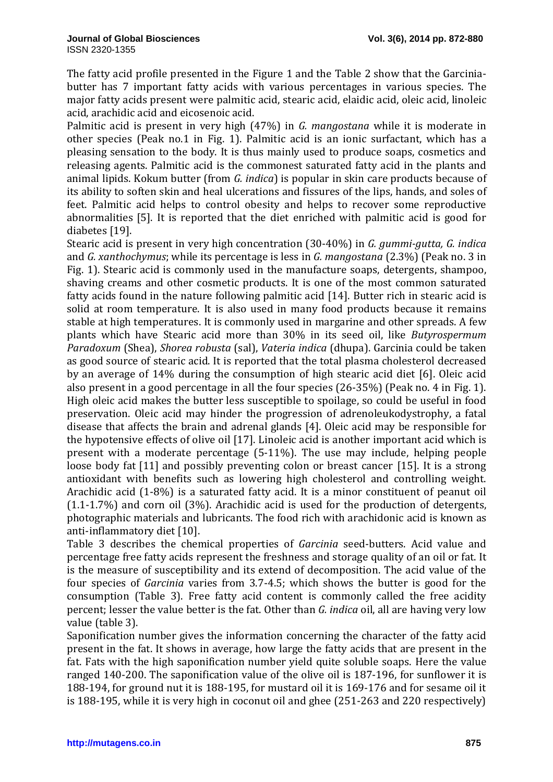The fatty acid profile presented in the Figure 1 and the Table 2 show that the Garciniabutter has 7 important fatty acids with various percentages in various species. The major fatty acids present were palmitic acid, stearic acid, elaidic acid, oleic acid, linoleic acid, arachidic acid and eicosenoic acid.

Palmitic acid is present in very high (47%) in *G. mangostana* while it is moderate in other species (Peak no.1 in Fig. 1). Palmitic acid is an ionic surfactant, which has a pleasing sensation to the body. It is thus mainly used to produce soaps, cosmetics and releasing agents. Palmitic acid is the commonest saturated fatty acid in the plants and animal lipids. Kokum butter (from *G. indica*) is popular in skin care products because of its ability to soften skin and heal ulcerations and fissures of the lips, hands, and soles of feet. Palmitic acid helps to control obesity and helps to recover some reproductive abnormalities [5]. It is reported that the diet enriched with palmitic acid is good for diabetes [19].

Stearic acid is present in very high concentration (30-40%) in *G. gummi-gutta, G. indica* and *G. xanthochymus*; while its percentage is less in *G. mangostana* (2.3%) (Peak no. 3 in Fig. 1). Stearic acid is commonly used in the manufacture soaps, detergents, shampoo, shaving creams and other cosmetic products. It is one of the most common saturated fatty acids found in the nature following palmitic acid [14]. Butter rich in stearic acid is solid at room temperature. It is also used in many food products because it remains stable at high temperatures. It is commonly used in margarine and other spreads. A few plants which have Stearic acid more than 30% in its seed oil, like *Butyrospermum Paradoxum* (Shea), *Shorea robusta* (sal), *Vateria indica* (dhupa). Garcinia could be taken as good source of stearic acid. It is reported that the total plasma cholesterol decreased by an average of 14% during the consumption of high stearic acid diet [6]. Oleic acid also present in a good percentage in all the four species (26-35%) (Peak no. 4 in Fig. 1). High oleic acid makes the butter less susceptible to spoilage, so could be useful in food preservation. Oleic acid may hinder the progression of adrenoleukodystrophy, a fatal disease that affects the brain and adrenal glands [4]. Oleic acid may be responsible for the hypotensive effects of olive oil [17]. Linoleic acid is another important acid which is present with a moderate percentage (5-11%). The use may include, helping people loose body fat [11] and possibly preventing colon or breast cancer [15]. It is a strong antioxidant with benefits such as lowering high cholesterol and controlling weight. Arachidic acid (1-8%) is a saturated fatty acid. It is a minor constituent of peanut oil (1.1-1.7%) and corn oil (3%). Arachidic acid is used for the production of detergents, photographic materials and lubricants. The food rich with arachidonic acid is known as anti-inflammatory diet [10].

Table 3 describes the chemical properties of *Garcinia* seed-butters. Acid value and percentage free fatty acids represent the freshness and storage quality of an oil or fat. It is the measure of susceptibility and its extend of decomposition. The acid value of the four species of *Garcinia* varies from 3.7-4.5; which shows the butter is good for the consumption (Table 3). Free fatty acid content is commonly called the free acidity percent; lesser the value better is the fat. Other than *G. indica* oil, all are having very low value (table 3).

Saponification number gives the information concerning the character of the fatty acid present in the fat. It shows in average, how large the fatty acids that are present in the fat. Fats with the high saponification number yield quite soluble soaps. Here the value ranged 140-200. The saponification value of the olive oil is 187-196, for sunflower it is 188-194, for ground nut it is 188-195, for mustard oil it is 169-176 and for sesame oil it is 188-195, while it is very high in coconut oil and ghee (251-263 and 220 respectively)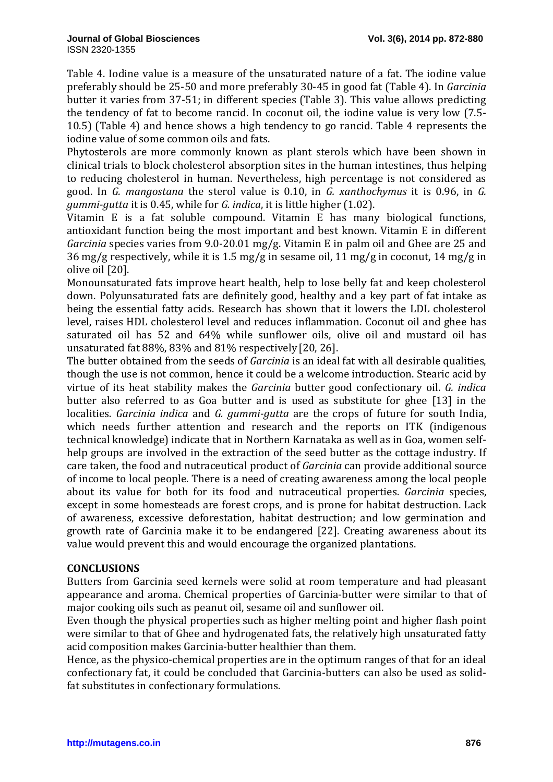Table 4. Iodine value is a measure of the unsaturated nature of a fat. The iodine value preferably should be 25-50 and more preferably 30-45 in good fat (Table 4). In *Garcinia* butter it varies from 37-51; in different species (Table 3). This value allows predicting the tendency of fat to become rancid. In coconut oil, the iodine value is very low (7.5- 10.5) (Table 4) and hence shows a high tendency to go rancid. Table 4 represents the iodine value of some common oils and fats.

Phytosterols are more commonly known as plant sterols which have been shown in clinical trials to block cholesterol absorption sites in the human intestines, thus helping to reducing cholesterol in human. Nevertheless, high percentage is not considered as good. In *G. mangostana* the sterol value is 0.10, in *G. xanthochymus* it is 0.96, in *G. gummi-gutta* it is 0.45, while for *G. indica*, it is little higher (1.02).

Vitamin E is a fat soluble compound. Vitamin E has many biological functions, antioxidant function being the most important and best known. Vitamin E in different *Garcinia* species varies from 9.0-20.01 mg/g. Vitamin E in palm oil and Ghee are 25 and 36 mg/g respectively, while it is 1.5 mg/g in sesame oil, 11 mg/g in coconut, 14 mg/g in olive oil [20].

Monounsaturated fats improve heart health, help to lose belly fat and keep cholesterol down. Polyunsaturated fats are definitely good, healthy and a key part of fat intake as being the essential fatty acids. Research has shown that it lowers the LDL cholesterol level, raises HDL cholesterol level and reduces inflammation. Coconut oil and ghee has saturated oil has 52 and 64% while sunflower oils, olive oil and mustard oil has unsaturated fat 88%, 83% and 81% respectively [20, 26].

The butter obtained from the seeds of *Garcinia* is an ideal fat with all desirable qualities, though the use is not common, hence it could be a welcome introduction. Stearic acid by virtue of its heat stability makes the *Garcinia* butter good confectionary oil. *G. indica* butter also referred to as Goa butter and is used as substitute for ghee [13] in the localities. *Garcinia indica* and *G. gummi-gutta* are the crops of future for south India, which needs further attention and research and the reports on ITK (indigenous technical knowledge) indicate that in Northern Karnataka as well as in Goa, women selfhelp groups are involved in the extraction of the seed butter as the cottage industry. If care taken, the food and nutraceutical product of *Garcinia* can provide additional source of income to local people. There is a need of creating awareness among the local people about its value for both for its food and nutraceutical properties. *Garcinia* species, except in some homesteads are forest crops, and is prone for habitat destruction. Lack of awareness, excessive deforestation, habitat destruction; and low germination and growth rate of Garcinia make it to be endangered [22]. Creating awareness about its value would prevent this and would encourage the organized plantations.

# **CONCLUSIONS**

Butters from Garcinia seed kernels were solid at room temperature and had pleasant appearance and aroma. Chemical properties of Garcinia-butter were similar to that of major cooking oils such as peanut oil, sesame oil and sunflower oil.

Even though the physical properties such as higher melting point and higher flash point were similar to that of Ghee and hydrogenated fats, the relatively high unsaturated fatty acid composition makes Garcinia-butter healthier than them.

Hence, as the physico-chemical properties are in the optimum ranges of that for an ideal confectionary fat, it could be concluded that Garcinia-butters can also be used as solidfat substitutes in confectionary formulations.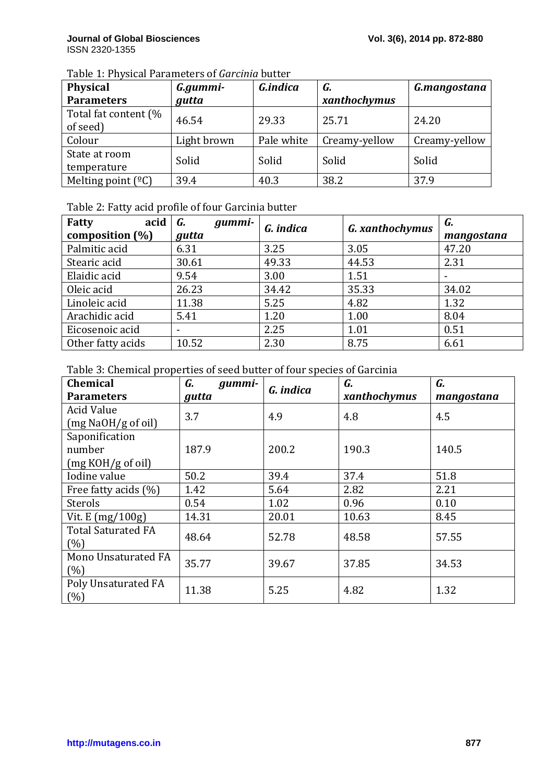| Table 1: Physical Parameters of Garcinia butter |  |  |
|-------------------------------------------------|--|--|
|-------------------------------------------------|--|--|

| <b>Physical</b>             | G.gummi-    | G.indica   | G.            | G.mangostana  |
|-----------------------------|-------------|------------|---------------|---------------|
| <b>Parameters</b>           | gutta       |            | xanthochymus  |               |
| Total fat content (%        | 46.54       | 29.33      | 25.71         | 24.20         |
| of seed)                    |             |            |               |               |
| Colour                      | Light brown | Pale white | Creamy-yellow | Creamy-yellow |
| State at room               | Solid       | Solid      | Solid         | Solid         |
| temperature                 |             |            |               |               |
| Melting point $(^{\circ}C)$ | 39.4        | 40.3       | 38.2          | 37.9          |

# Table 2: Fatty acid profile of four Garcinia butter

| acid<br>Fatty      | gummi-<br>G. | G. indica | <b>G.</b> xanthochymus | G.         |
|--------------------|--------------|-----------|------------------------|------------|
| composition $(\%)$ | gutta        |           |                        | mangostana |
| Palmitic acid      | 6.31         | 3.25      | 3.05                   | 47.20      |
| Stearic acid       | 30.61        | 49.33     | 44.53                  | 2.31       |
| Elaidic acid       | 9.54         | 3.00      | 1.51                   |            |
| Oleic acid         | 26.23        | 34.42     | 35.33                  | 34.02      |
| Linoleic acid      | 11.38        | 5.25      | 4.82                   | 1.32       |
| Arachidic acid     | 5.41         | 1.20      | 1.00                   | 8.04       |
| Eicosenoic acid    |              | 2.25      | 1.01                   | 0.51       |
| Other fatty acids  | 10.52        | 2.30      | 8.75                   | 6.61       |

# Table 3: Chemical properties of seed butter of four species of Garcinia

| <b>Chemical</b>                         | G.<br>gummi- | G. indica | G.           | G.         |
|-----------------------------------------|--------------|-----------|--------------|------------|
| <b>Parameters</b>                       | gutta        |           | xanthochymus | mangostana |
| <b>Acid Value</b>                       | 3.7          | 4.9       | 4.8          | 4.5        |
| (mg NaOH/g of oil)                      |              |           |              |            |
| Saponification                          |              |           |              |            |
| number                                  | 187.9        | 200.2     | 190.3        | 140.5      |
| (mg KOH/g of oil)                       |              |           |              |            |
| Iodine value                            | 50.2         | 39.4      | 37.4         | 51.8       |
| Free fatty acids (%)                    | 1.42         | 5.64      | 2.82         | 2.21       |
| Sterols                                 | 0.54         | 1.02      | 0.96         | 0.10       |
| Vit. $E \left( \frac{mg}{100g} \right)$ | 14.31        | 20.01     | 10.63        | 8.45       |
| <b>Total Saturated FA</b>               | 48.64        | 52.78     | 48.58        | 57.55      |
| (%)                                     |              |           |              |            |
| Mono Unsaturated FA                     | 35.77        | 39.67     | 37.85        | 34.53      |
| (%)                                     |              |           |              |            |
| Poly Unsaturated FA                     | 11.38        | 5.25      | 4.82         | 1.32       |
| (%)                                     |              |           |              |            |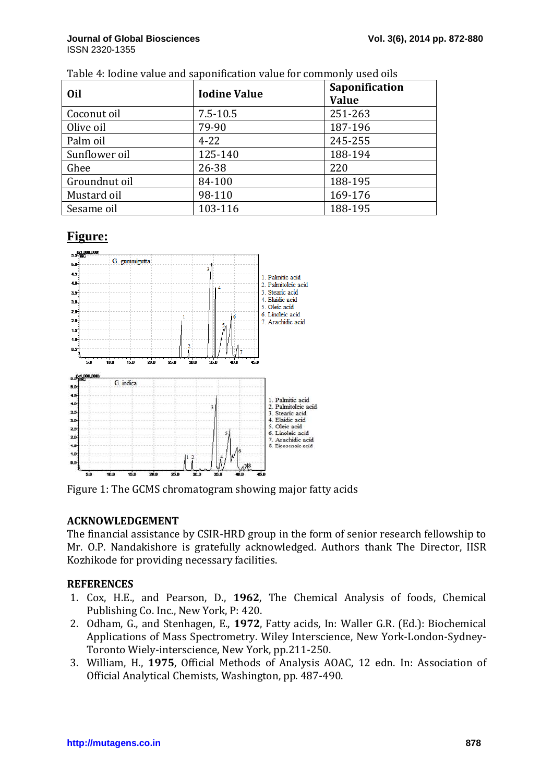| Oil           | <b>Iodine Value</b> | Saponification |
|---------------|---------------------|----------------|
|               |                     | <b>Value</b>   |
| Coconut oil   | $7.5 - 10.5$        | 251-263        |
| Olive oil     | 79-90               | 187-196        |
| Palm oil      | $4 - 22$            | 245-255        |
| Sunflower oil | 125-140             | 188-194        |
| Ghee          | 26-38               | 220            |
| Groundnut oil | 84-100              | 188-195        |
| Mustard oil   | 98-110              | 169-176        |
| Sesame oil    | 103-116             | 188-195        |

#### Table 4: Iodine value and saponification value for commonly used oils

# **Figure:**



Figure 1: The GCMS chromatogram showing major fatty acids

# **ACKNOWLEDGEMENT**

The financial assistance by CSIR-HRD group in the form of senior research fellowship to Mr. O.P. Nandakishore is gratefully acknowledged. Authors thank The Director, IISR Kozhikode for providing necessary facilities. HRD group in the form of senior research fellowship to<br>ully acknowledged. Authors thank The Director, IISR<br>ry facilities.<br>, **1962**, The Chemical Analysis of foods, Chemical<br>, P: 420.<br>L., **1972**, Fatty acids, In: Waller G.R

# **REFERENCES**

- 1. Cox, H.E., and Pearson, D., **1962**, The Chemical Analysis of foods, Chemical Publishing Co. Inc., New York, P: 420.
- 2. Odham, G., and Stenhagen, E., **1972**, Fatty acids, In: Waller G.R. (Ed.): Biochemical Applications of Mass Spectrometry. Wiley Interscience, New York-London-Sydney-Toronto Wiely-interscience, New York, pp.211-250.
- 3. William, H., **1975**, Official Methods of Analysis AOAC, 12 edn. In: Association of Official Analytical Chemists, Washington, pp. 487 487-490.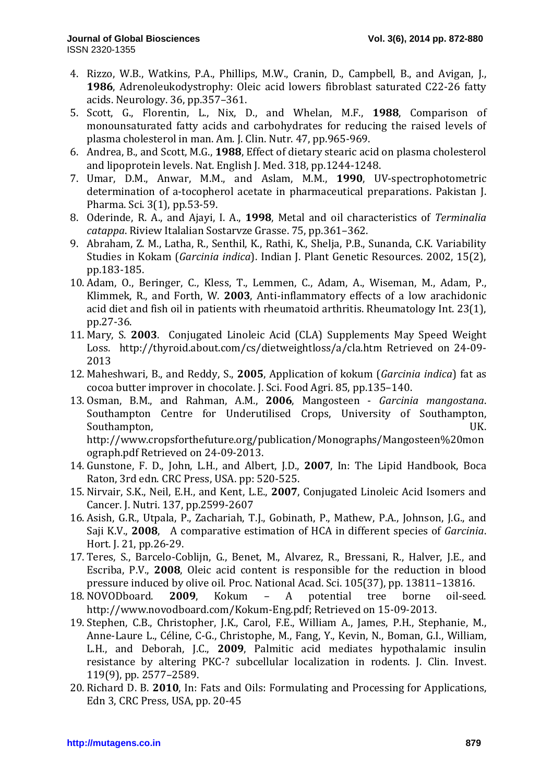- 4. Rizzo, W.B., Watkins, P.A., Phillips, M.W., Cranin, D., Campbell, B., and Avigan, J., **1986**, Adrenoleukodystrophy: Oleic acid lowers fibroblast saturated C22-26 fatty acids. Neurology. 36, pp.357–361.
- 5. Scott, G., Florentin, L., Nix, D., and Whelan, M.F., **1988**, Comparison of monounsaturated fatty acids and carbohydrates for reducing the raised levels of plasma cholesterol in man. Am. J. Clin. Nutr. 47, pp.965-969.
- 6. Andrea, B., and Scott, M.G., **1988**, Effect of dietary stearic acid on plasma cholesterol and lipoprotein levels. Nat. English J. Med. 318, pp.1244-1248.
- 7. Umar, D.M., Anwar, M.M., and Aslam, M.M., **1990**, UV-spectrophotometric determination of a-tocopherol acetate in pharmaceutical preparations. Pakistan J. Pharma. Sci. 3(1), pp.53-59.
- 8. Oderinde, R. A., and Ajayi, I. A., **1998**, Metal and oil characteristics of *Terminalia catappa*. Riview Italalian Sostarvze Grasse. 75, pp.361–362.
- 9. Abraham, Z. M., Latha, R., Senthil, K., Rathi, K., Shelja, P.B., Sunanda, C.K. Variability Studies in Kokam (*Garcinia indica*). Indian J. Plant Genetic Resources. 2002, 15(2), pp.183-185.
- 10. Adam, O., Beringer, C., Kless, T., Lemmen, C., Adam, A., Wiseman, M., Adam, P., Klimmek, R., and Forth, W. **2003**, Anti-inflammatory effects of a low arachidonic acid diet and fish oil in patients with rheumatoid arthritis. Rheumatology Int. 23(1), pp.27-36.
- 11. Mary, S. **2003**. Conjugated Linoleic Acid (CLA) Supplements May Speed Weight Loss. http://thyroid.about.com/cs/dietweightloss/a/cla.htm Retrieved on 24-09- 2013
- 12. Maheshwari, B., and Reddy, S., **2005**, Application of kokum (*Garcinia indica*) fat as cocoa butter improver in chocolate. J. Sci. Food Agri. 85, pp.135–140.
- 13. Osman, B.M., and Rahman, A.M., **2006**, Mangosteen *Garcinia mangostana*. Southampton Centre for Underutilised Crops, University of Southampton, Southampton, **UK.** http://www.cropsforthefuture.org/publication/Monographs/Mangosteen%20mon ograph.pdf Retrieved on 24-09-2013.
- 14. Gunstone, F. D., John, L.H., and Albert, J.D., **2007**, In: The Lipid Handbook, Boca Raton, 3rd edn. CRC Press, USA. pp: 520-525.
- 15. Nirvair, S.K., Neil, E.H., and Kent, L.E., **2007**, Conjugated Linoleic Acid Isomers and Cancer. J. Nutri. 137, pp.2599-2607
- 16. Asish, G.R., Utpala, P., Zachariah, T.J., Gobinath, P., Mathew, P.A., Johnson, J.G., and Saji K.V., **2008**, A comparative estimation of HCA in different species of *Garcinia*. Hort. J. 21, pp.26-29.
- 17. Teres, S., Barcelo-Coblijn, G., Benet, M., Alvarez, R., Bressani, R., Halver, J.E., and Escriba, P.V., **2008**, Oleic acid content is responsible for the reduction in blood pressure induced by olive oil. Proc. National Acad. Sci. 105(37), pp. 13811–13816.
- 18. NOVODboard. **2009**, Kokum A potential tree borne oil-seed. http://www.novodboard.com/Kokum-Eng.pdf; Retrieved on 15-09-2013.
- 19. Stephen, C.B., Christopher, J.K., Carol, F.E., William A., James, P.H., Stephanie, M., Anne-Laure L., Céline, C-G., Christophe, M., Fang, Y., Kevin, N., Boman, G.I., William, L.H., and Deborah, J.C., **2009**, Palmitic acid mediates hypothalamic insulin resistance by altering PKC-? subcellular localization in rodents. J. Clin. Invest. 119(9), pp. 2577–2589.
- 20. Richard D. B. **2010**, In: Fats and Oils: Formulating and Processing for Applications, Edn 3, CRC Press, USA, pp. 20-45